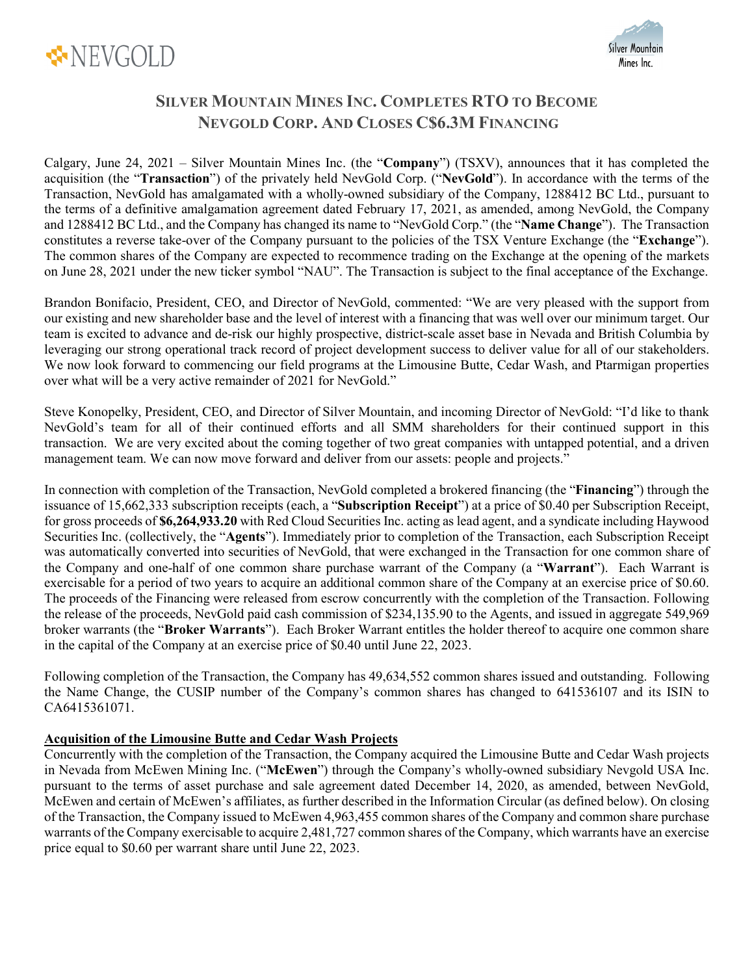



# **SILVER MOUNTAIN MINES INC. COMPLETES RTO TO BECOME NEVGOLD CORP. AND CLOSES C\$6.3M FINANCING**

Calgary, June 24, 2021 – Silver Mountain Mines Inc. (the "**Company**") (TSXV), announces that it has completed the acquisition (the "**Transaction**") of the privately held NevGold Corp. ("**NevGold**"). In accordance with the terms of the Transaction, NevGold has amalgamated with a wholly-owned subsidiary of the Company, 1288412 BC Ltd., pursuant to the terms of a definitive amalgamation agreement dated February 17, 2021, as amended, among NevGold, the Company and 1288412 BC Ltd., and the Company has changed its name to "NevGold Corp." (the "**Name Change**"). The Transaction constitutes a reverse take-over of the Company pursuant to the policies of the TSX Venture Exchange (the "**Exchange**"). The common shares of the Company are expected to recommence trading on the Exchange at the opening of the markets on June 28, 2021 under the new ticker symbol "NAU". The Transaction is subject to the final acceptance of the Exchange.

Brandon Bonifacio, President, CEO, and Director of NevGold, commented: "We are very pleased with the support from our existing and new shareholder base and the level of interest with a financing that was well over our minimum target. Our team is excited to advance and de-risk our highly prospective, district-scale asset base in Nevada and British Columbia by leveraging our strong operational track record of project development success to deliver value for all of our stakeholders. We now look forward to commencing our field programs at the Limousine Butte, Cedar Wash, and Ptarmigan properties over what will be a very active remainder of 2021 for NevGold."

Steve Konopelky, President, CEO, and Director of Silver Mountain, and incoming Director of NevGold: "I'd like to thank NevGold's team for all of their continued efforts and all SMM shareholders for their continued support in this transaction. We are very excited about the coming together of two great companies with untapped potential, and a driven management team. We can now move forward and deliver from our assets: people and projects."

In connection with completion of the Transaction, NevGold completed a brokered financing (the "**Financing**") through the issuance of 15,662,333 subscription receipts (each, a "**Subscription Receipt**") at a price of \$0.40 per Subscription Receipt, for gross proceeds of **\$6,264,933.20** with Red Cloud Securities Inc. acting as lead agent, and a syndicate including Haywood Securities Inc. (collectively, the "**Agents**"). Immediately prior to completion of the Transaction, each Subscription Receipt was automatically converted into securities of NevGold, that were exchanged in the Transaction for one common share of the Company and one-half of one common share purchase warrant of the Company (a "**Warrant**"). Each Warrant is exercisable for a period of two years to acquire an additional common share of the Company at an exercise price of \$0.60. The proceeds of the Financing were released from escrow concurrently with the completion of the Transaction. Following the release of the proceeds, NevGold paid cash commission of \$234,135.90 to the Agents, and issued in aggregate 549,969 broker warrants (the "**Broker Warrants**"). Each Broker Warrant entitles the holder thereof to acquire one common share in the capital of the Company at an exercise price of \$0.40 until June 22, 2023.

Following completion of the Transaction, the Company has 49,634,552 common shares issued and outstanding. Following the Name Change, the CUSIP number of the Company's common shares has changed to 641536107 and its ISIN to CA6415361071.

# **Acquisition of the Limousine Butte and Cedar Wash Projects**

Concurrently with the completion of the Transaction, the Company acquired the Limousine Butte and Cedar Wash projects in Nevada from McEwen Mining Inc. ("**McEwen**") through the Company's wholly-owned subsidiary Nevgold USA Inc. pursuant to the terms of asset purchase and sale agreement dated December 14, 2020, as amended, between NevGold, McEwen and certain of McEwen's affiliates, as further described in the Information Circular (as defined below). On closing of the Transaction, the Company issued to McEwen 4,963,455 common shares of the Company and common share purchase warrants of the Company exercisable to acquire 2,481,727 common shares of the Company, which warrants have an exercise price equal to \$0.60 per warrant share until June 22, 2023.